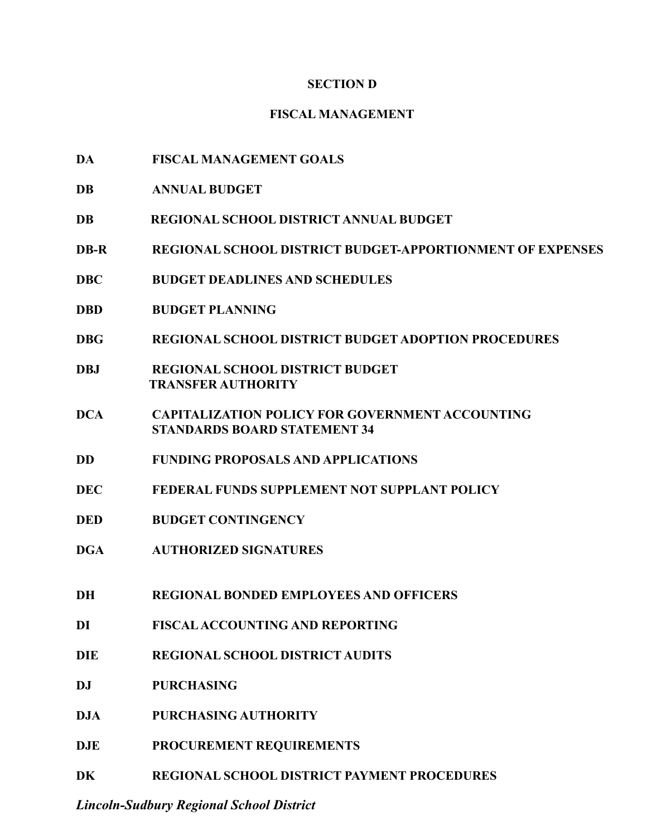#### **SECTION D**

## **FISCAL MANAGEMENT**

- **DA FISCAL MANAGEMENT GOALS**
- **DB ANNUAL BUDGET**
- **DB REGIONAL SCHOOL DISTRICT ANNUAL BUDGET**
- **DB-R REGIONAL SCHOOL DISTRICT BUDGET-APPORTIONMENT OF EXPENSES**
- **DBC BUDGET DEADLINES AND SCHEDULES**
- **DBD BUDGET PLANNING**
- **DBG REGIONAL SCHOOL DISTRICT BUDGET ADOPTION PROCEDURES**
- **DBJ REGIONAL SCHOOL DISTRICT BUDGET TRANSFER AUTHORITY**
- **DCA CAPITALIZATION POLICY FOR GOVERNMENT ACCOUNTING STANDARDS BOARD STATEMENT 34**
- **DD FUNDING PROPOSALS AND APPLICATIONS**
- **DEC FEDERAL FUNDS SUPPLEMENT NOT SUPPLANT POLICY**
- **DED BUDGET CONTINGENCY**
- **DGA AUTHORIZED SIGNATURES**
- **DH REGIONAL BONDED EMPLOYEES AND OFFICERS**
- **DI FISCALACCOUNTING AND REPORTING**
- **DIE REGIONAL SCHOOL DISTRICT AUDITS**
- **DJ PURCHASING**
- **DJA PURCHASING AUTHORITY**
- **DJE PROCUREMENT REQUIREMENTS**
- **DK REGIONAL SCHOOL DISTRICT PAYMENT PROCEDURES**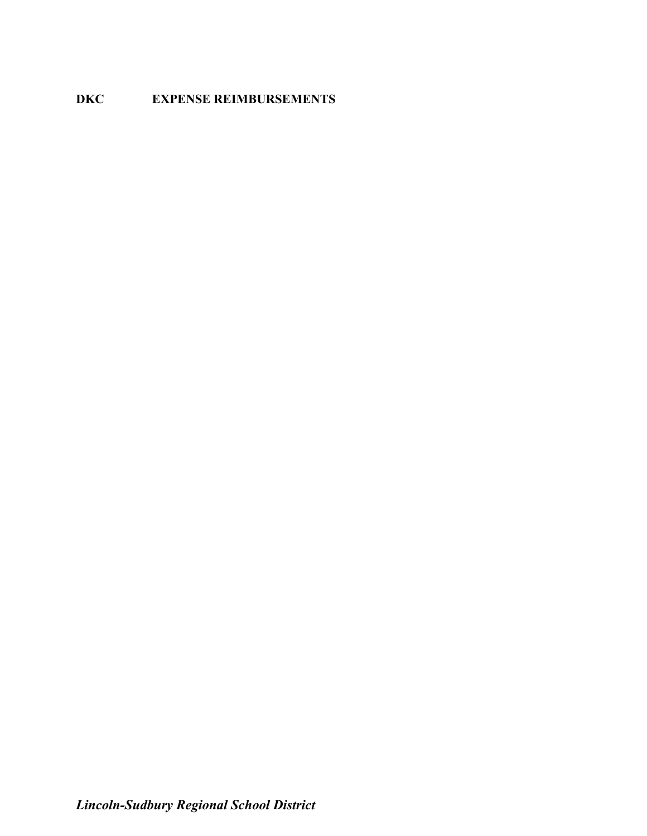# **DKC EXPENSE REIMBURSEMENTS**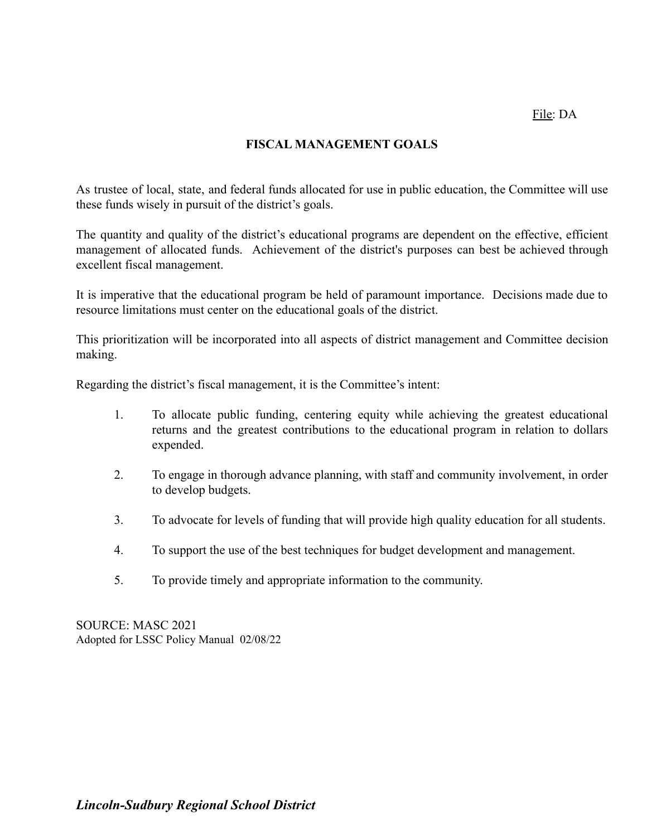## **FISCAL MANAGEMENT GOALS**

As trustee of local, state, and federal funds allocated for use in public education, the Committee will use these funds wisely in pursuit of the district's goals.

The quantity and quality of the district's educational programs are dependent on the effective, efficient management of allocated funds. Achievement of the district's purposes can best be achieved through excellent fiscal management.

It is imperative that the educational program be held of paramount importance. Decisions made due to resource limitations must center on the educational goals of the district.

This prioritization will be incorporated into all aspects of district management and Committee decision making.

Regarding the district's fiscal management, it is the Committee's intent:

- 1. To allocate public funding, centering equity while achieving the greatest educational returns and the greatest contributions to the educational program in relation to dollars expended.
- 2. To engage in thorough advance planning, with staff and community involvement, in order to develop budgets.
- 3. To advocate for levels of funding that will provide high quality education for all students.
- 4. To support the use of the best techniques for budget development and management.
- 5. To provide timely and appropriate information to the community.

SOURCE: MASC 2021 Adopted for LSSC Policy Manual 02/08/22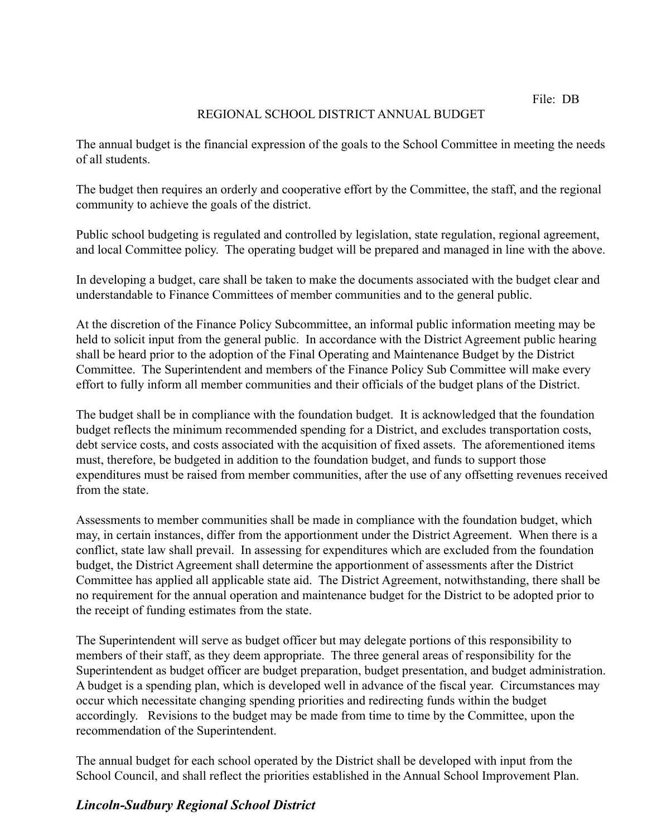File: DB

# REGIONAL SCHOOL DISTRICT ANNUAL BUDGET

The annual budget is the financial expression of the goals to the School Committee in meeting the needs of all students.

The budget then requires an orderly and cooperative effort by the Committee, the staff, and the regional community to achieve the goals of the district.

Public school budgeting is regulated and controlled by legislation, state regulation, regional agreement, and local Committee policy. The operating budget will be prepared and managed in line with the above.

In developing a budget, care shall be taken to make the documents associated with the budget clear and understandable to Finance Committees of member communities and to the general public.

At the discretion of the Finance Policy Subcommittee, an informal public information meeting may be held to solicit input from the general public. In accordance with the District Agreement public hearing shall be heard prior to the adoption of the Final Operating and Maintenance Budget by the District Committee. The Superintendent and members of the Finance Policy Sub Committee will make every effort to fully inform all member communities and their officials of the budget plans of the District.

The budget shall be in compliance with the foundation budget. It is acknowledged that the foundation budget reflects the minimum recommended spending for a District, and excludes transportation costs, debt service costs, and costs associated with the acquisition of fixed assets. The aforementioned items must, therefore, be budgeted in addition to the foundation budget, and funds to support those expenditures must be raised from member communities, after the use of any offsetting revenues received from the state.

Assessments to member communities shall be made in compliance with the foundation budget, which may, in certain instances, differ from the apportionment under the District Agreement. When there is a conflict, state law shall prevail. In assessing for expenditures which are excluded from the foundation budget, the District Agreement shall determine the apportionment of assessments after the District Committee has applied all applicable state aid. The District Agreement, notwithstanding, there shall be no requirement for the annual operation and maintenance budget for the District to be adopted prior to the receipt of funding estimates from the state.

The Superintendent will serve as budget officer but may delegate portions of this responsibility to members of their staff, as they deem appropriate. The three general areas of responsibility for the Superintendent as budget officer are budget preparation, budget presentation, and budget administration. A budget is a spending plan, which is developed well in advance of the fiscal year. Circumstances may occur which necessitate changing spending priorities and redirecting funds within the budget accordingly. Revisions to the budget may be made from time to time by the Committee, upon the recommendation of the Superintendent.

The annual budget for each school operated by the District shall be developed with input from the School Council, and shall reflect the priorities established in the Annual School Improvement Plan.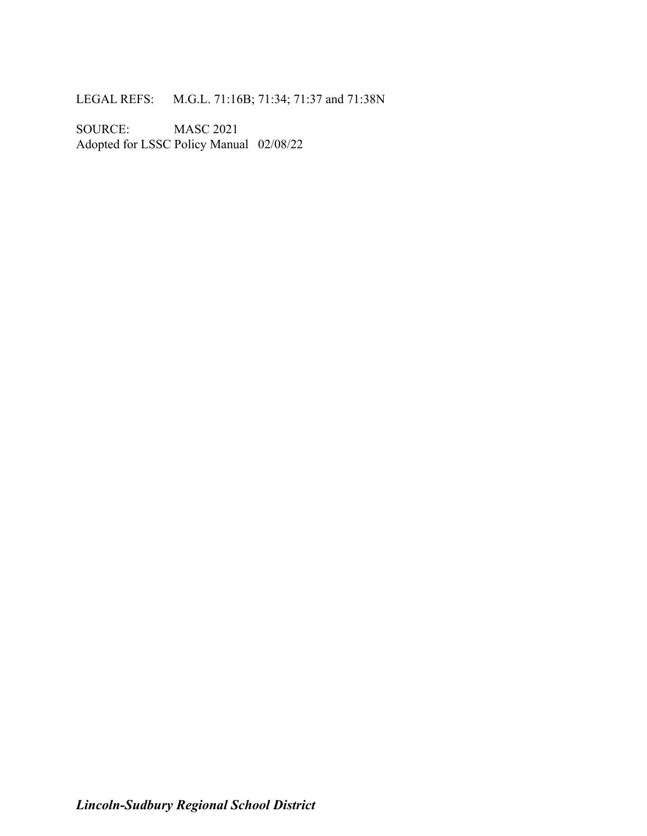LEGAL REFS: M.G.L. 71:16B; 71:34; 71:37 and 71:38N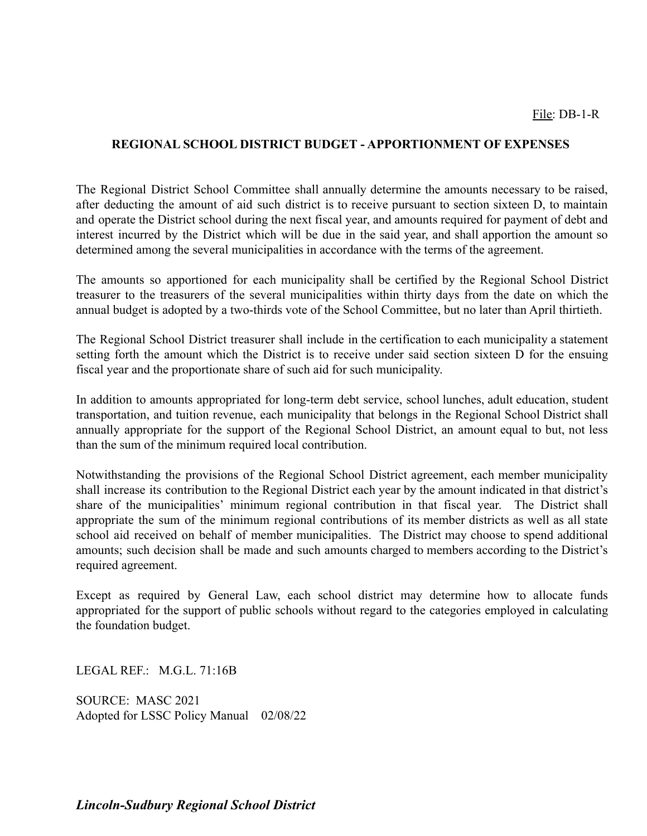#### **REGIONAL SCHOOL DISTRICT BUDGET - APPORTIONMENT OF EXPENSES**

The Regional District School Committee shall annually determine the amounts necessary to be raised, after deducting the amount of aid such district is to receive pursuant to section sixteen D, to maintain and operate the District school during the next fiscal year, and amounts required for payment of debt and interest incurred by the District which will be due in the said year, and shall apportion the amount so determined among the several municipalities in accordance with the terms of the agreement.

The amounts so apportioned for each municipality shall be certified by the Regional School District treasurer to the treasurers of the several municipalities within thirty days from the date on which the annual budget is adopted by a two-thirds vote of the School Committee, but no later than April thirtieth.

The Regional School District treasurer shall include in the certification to each municipality a statement setting forth the amount which the District is to receive under said section sixteen D for the ensuing fiscal year and the proportionate share of such aid for such municipality.

In addition to amounts appropriated for long-term debt service, school lunches, adult education, student transportation, and tuition revenue, each municipality that belongs in the Regional School District shall annually appropriate for the support of the Regional School District, an amount equal to but, not less than the sum of the minimum required local contribution.

Notwithstanding the provisions of the Regional School District agreement, each member municipality shall increase its contribution to the Regional District each year by the amount indicated in that district's share of the municipalities' minimum regional contribution in that fiscal year. The District shall appropriate the sum of the minimum regional contributions of its member districts as well as all state school aid received on behalf of member municipalities. The District may choose to spend additional amounts; such decision shall be made and such amounts charged to members according to the District's required agreement.

Except as required by General Law, each school district may determine how to allocate funds appropriated for the support of public schools without regard to the categories employed in calculating the foundation budget.

LEGAL REF.: M.G.L. 71:16B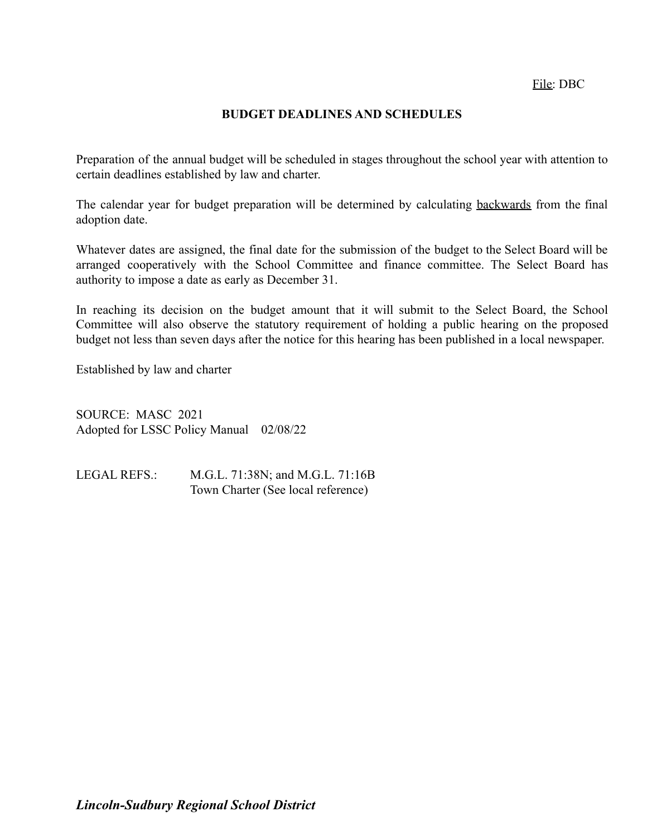File: DBC

#### **BUDGET DEADLINES AND SCHEDULES**

Preparation of the annual budget will be scheduled in stages throughout the school year with attention to certain deadlines established by law and charter.

The calendar year for budget preparation will be determined by calculating backwards from the final adoption date.

Whatever dates are assigned, the final date for the submission of the budget to the Select Board will be arranged cooperatively with the School Committee and finance committee. The Select Board has authority to impose a date as early as December 31.

In reaching its decision on the budget amount that it will submit to the Select Board, the School Committee will also observe the statutory requirement of holding a public hearing on the proposed budget not less than seven days after the notice for this hearing has been published in a local newspaper.

Established by law and charter

SOURCE: MASC 2021 Adopted for LSSC Policy Manual 02/08/22

LEGAL REFS.: M.G.L. 71:38N; and M.G.L. 71:16B Town Charter (See local reference)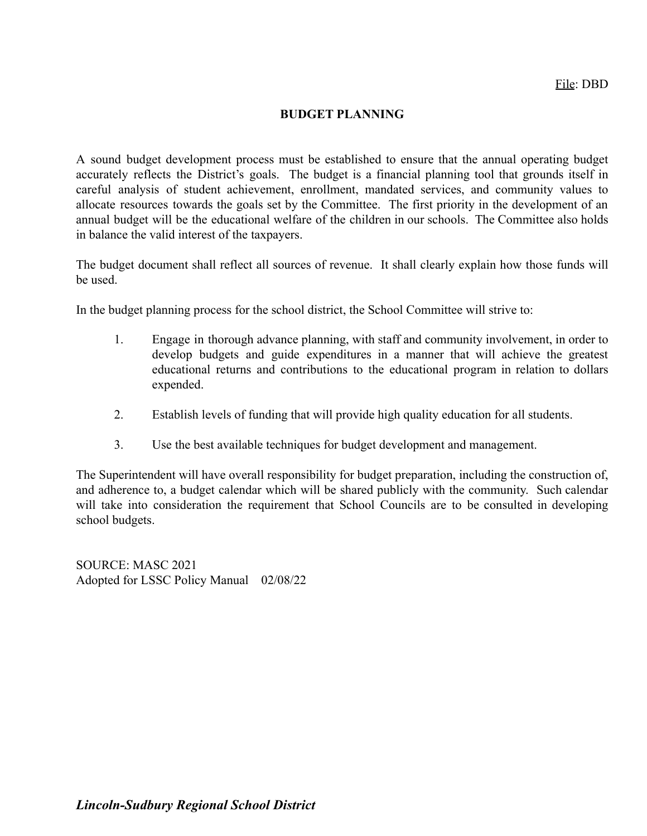#### **BUDGET PLANNING**

A sound budget development process must be established to ensure that the annual operating budget accurately reflects the District's goals. The budget is a financial planning tool that grounds itself in careful analysis of student achievement, enrollment, mandated services, and community values to allocate resources towards the goals set by the Committee. The first priority in the development of an annual budget will be the educational welfare of the children in our schools. The Committee also holds in balance the valid interest of the taxpayers.

The budget document shall reflect all sources of revenue. It shall clearly explain how those funds will be used.

In the budget planning process for the school district, the School Committee will strive to:

- 1. Engage in thorough advance planning, with staff and community involvement, in order to develop budgets and guide expenditures in a manner that will achieve the greatest educational returns and contributions to the educational program in relation to dollars expended.
- 2. Establish levels of funding that will provide high quality education for all students.
- 3. Use the best available techniques for budget development and management.

The Superintendent will have overall responsibility for budget preparation, including the construction of, and adherence to, a budget calendar which will be shared publicly with the community. Such calendar will take into consideration the requirement that School Councils are to be consulted in developing school budgets.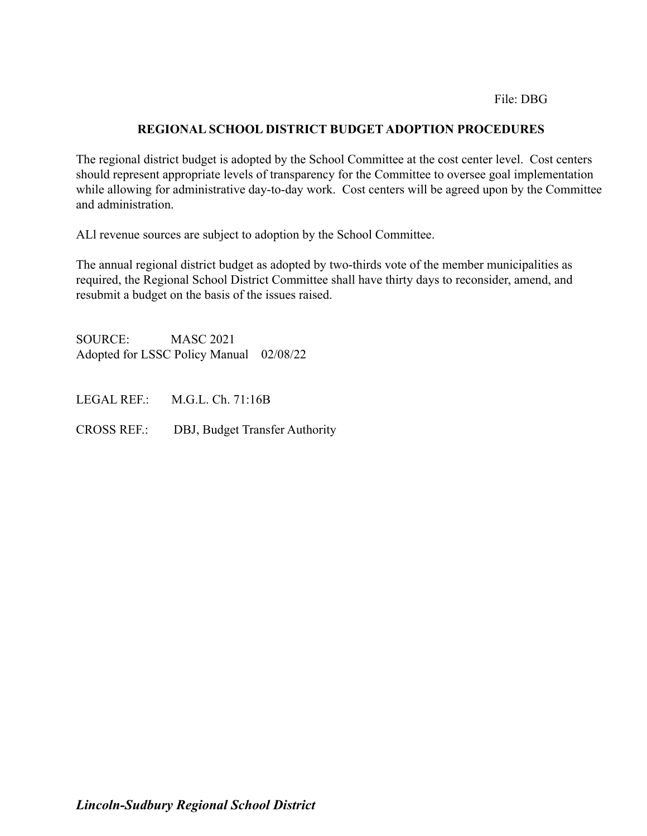#### File: DBG

## **REGIONAL SCHOOL DISTRICT BUDGET ADOPTION PROCEDURES**

The regional district budget is adopted by the School Committee at the cost center level. Cost centers should represent appropriate levels of transparency for the Committee to oversee goal implementation while allowing for administrative day-to-day work. Cost centers will be agreed upon by the Committee and administration.

ALl revenue sources are subject to adoption by the School Committee.

The annual regional district budget as adopted by two-thirds vote of the member municipalities as required, the Regional School District Committee shall have thirty days to reconsider, amend, and resubmit a budget on the basis of the issues raised.

SOURCE: MASC 2021 Adopted for LSSC Policy Manual 02/08/22

LEGAL REF.: M.G.L. Ch. 71:16B

CROSS REF.: DBJ, Budget Transfer Authority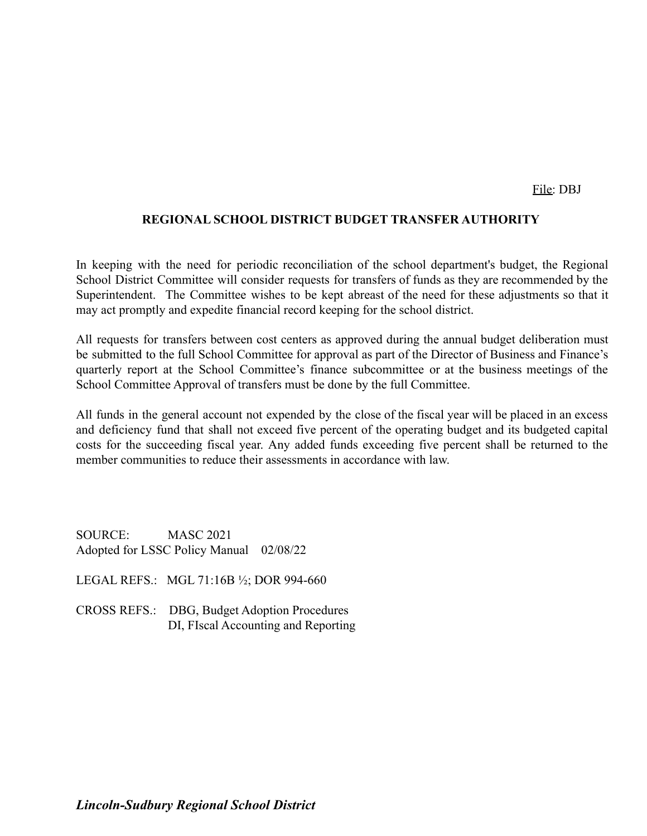File: DBJ

#### **REGIONAL SCHOOL DISTRICT BUDGET TRANSFER AUTHORITY**

In keeping with the need for periodic reconciliation of the school department's budget, the Regional School District Committee will consider requests for transfers of funds as they are recommended by the Superintendent. The Committee wishes to be kept abreast of the need for these adjustments so that it may act promptly and expedite financial record keeping for the school district.

All requests for transfers between cost centers as approved during the annual budget deliberation must be submitted to the full School Committee for approval as part of the Director of Business and Finance's quarterly report at the School Committee's finance subcommittee or at the business meetings of the School Committee Approval of transfers must be done by the full Committee.

All funds in the general account not expended by the close of the fiscal year will be placed in an excess and deficiency fund that shall not exceed five percent of the operating budget and its budgeted capital costs for the succeeding fiscal year. Any added funds exceeding five percent shall be returned to the member communities to reduce their assessments in accordance with law.

- LEGAL REFS.: MGL 71:16B ½; DOR 994-660
- CROSS REFS.: DBG, Budget Adoption Procedures DI, FIscal Accounting and Reporting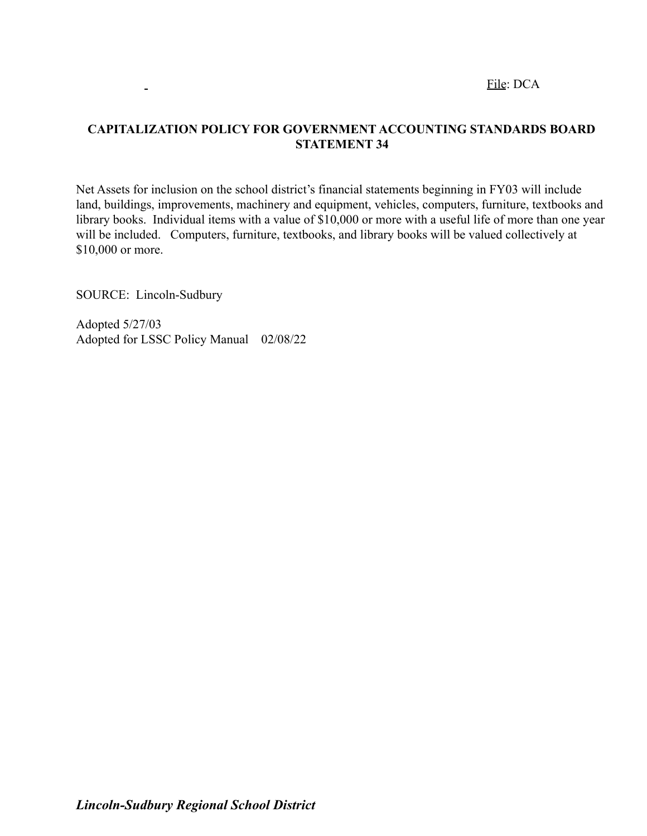File: DCA

# **CAPITALIZATION POLICY FOR GOVERNMENT ACCOUNTING STANDARDS BOARD STATEMENT 34**

Net Assets for inclusion on the school district's financial statements beginning in FY03 will include land, buildings, improvements, machinery and equipment, vehicles, computers, furniture, textbooks and library books. Individual items with a value of \$10,000 or more with a useful life of more than one year will be included. Computers, furniture, textbooks, and library books will be valued collectively at \$10,000 or more.

SOURCE: Lincoln-Sudbury

 $\blacksquare$ 

Adopted 5/27/03 Adopted for LSSC Policy Manual 02/08/22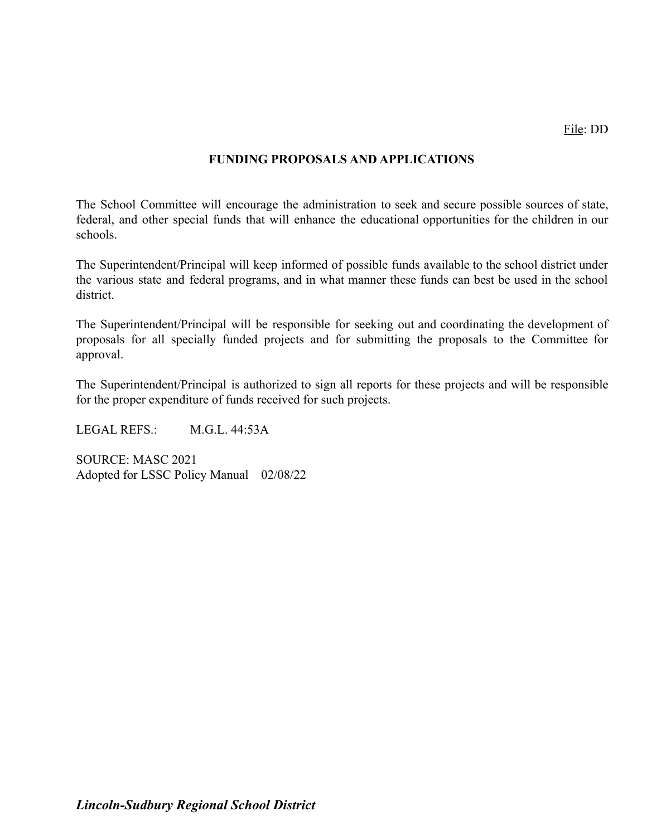#### **FUNDING PROPOSALS AND APPLICATIONS**

The School Committee will encourage the administration to seek and secure possible sources of state, federal, and other special funds that will enhance the educational opportunities for the children in our schools.

The Superintendent/Principal will keep informed of possible funds available to the school district under the various state and federal programs, and in what manner these funds can best be used in the school district.

The Superintendent/Principal will be responsible for seeking out and coordinating the development of proposals for all specially funded projects and for submitting the proposals to the Committee for approval.

The Superintendent/Principal is authorized to sign all reports for these projects and will be responsible for the proper expenditure of funds received for such projects.

LEGAL REFS.: M.G.L. 44:53A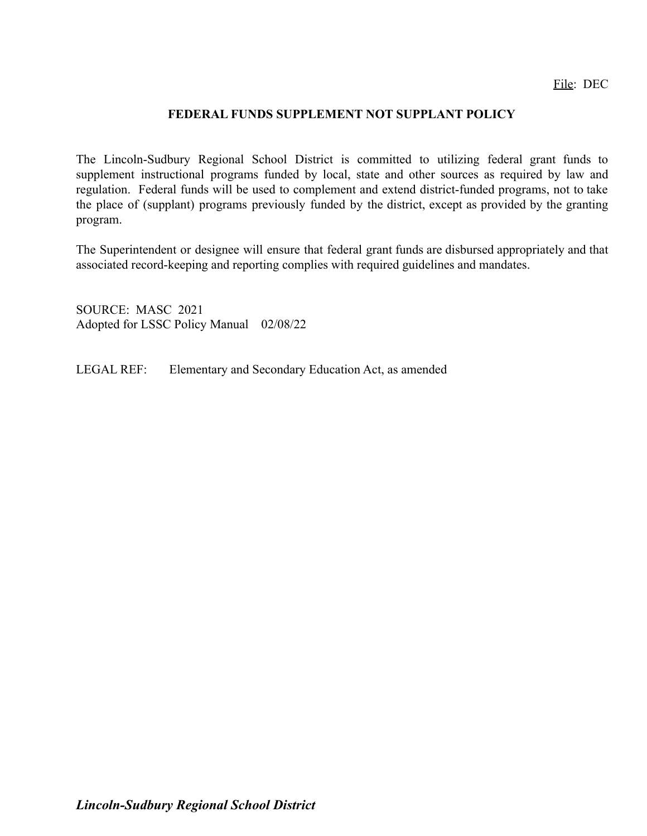#### **FEDERAL FUNDS SUPPLEMENT NOT SUPPLANT POLICY**

The Lincoln-Sudbury Regional School District is committed to utilizing federal grant funds to supplement instructional programs funded by local, state and other sources as required by law and regulation. Federal funds will be used to complement and extend district-funded programs, not to take the place of (supplant) programs previously funded by the district, except as provided by the granting program.

The Superintendent or designee will ensure that federal grant funds are disbursed appropriately and that associated record-keeping and reporting complies with required guidelines and mandates.

SOURCE: MASC 2021 Adopted for LSSC Policy Manual 02/08/22

LEGAL REF: Elementary and Secondary Education Act, as amended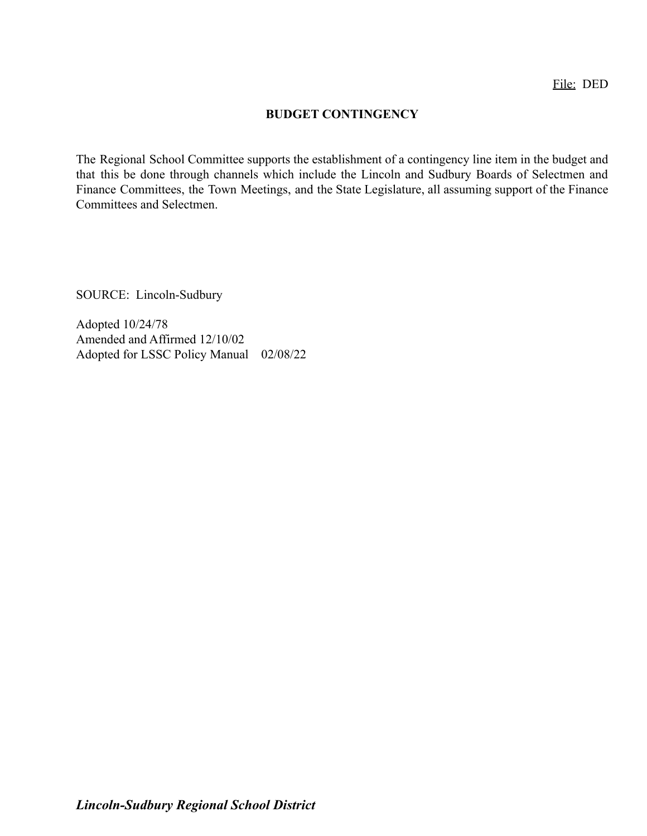#### **BUDGET CONTINGENCY**

The Regional School Committee supports the establishment of a contingency line item in the budget and that this be done through channels which include the Lincoln and Sudbury Boards of Selectmen and Finance Committees, the Town Meetings, and the State Legislature, all assuming support of the Finance Committees and Selectmen.

SOURCE: Lincoln-Sudbury

Adopted 10/24/78 Amended and Affirmed 12/10/02 Adopted for LSSC Policy Manual 02/08/22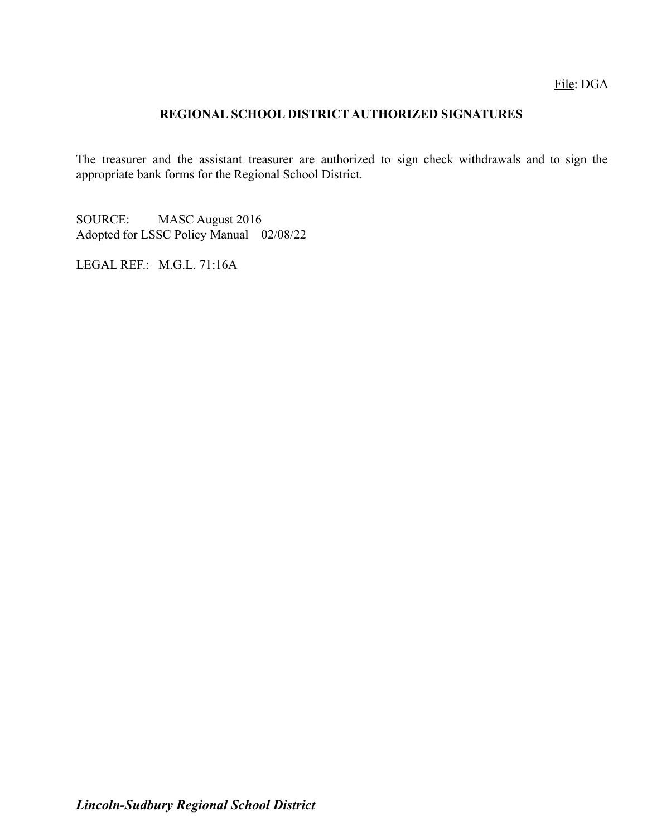## **REGIONAL SCHOOL DISTRICT AUTHORIZED SIGNATURES**

The treasurer and the assistant treasurer are authorized to sign check withdrawals and to sign the appropriate bank forms for the Regional School District.

SOURCE: MASC August 2016 Adopted for LSSC Policy Manual 02/08/22

LEGAL REF.: M.G.L. 71:16A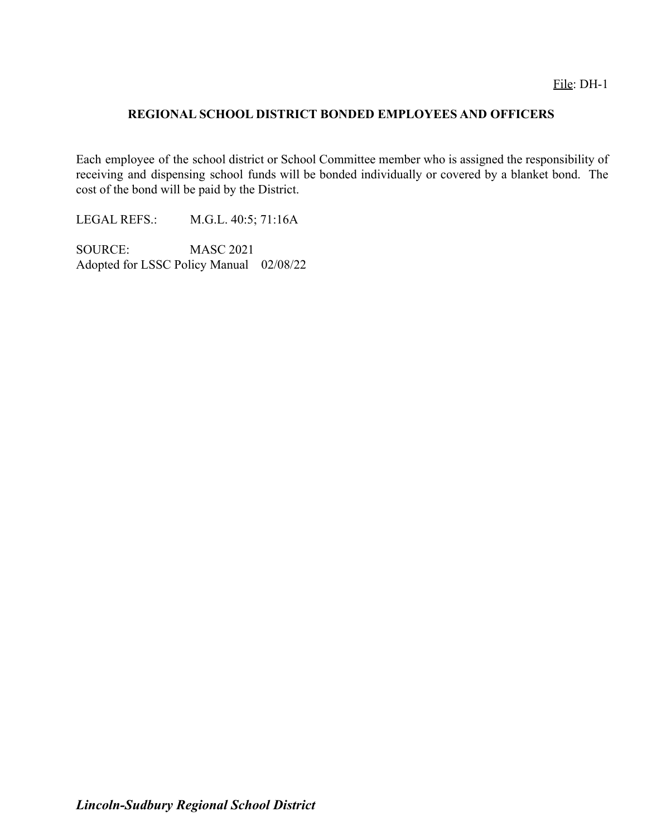## **REGIONAL SCHOOL DISTRICT BONDED EMPLOYEES AND OFFICERS**

Each employee of the school district or School Committee member who is assigned the responsibility of receiving and dispensing school funds will be bonded individually or covered by a blanket bond. The cost of the bond will be paid by the District.

LEGAL REFS.: M.G.L. 40:5; 71:16A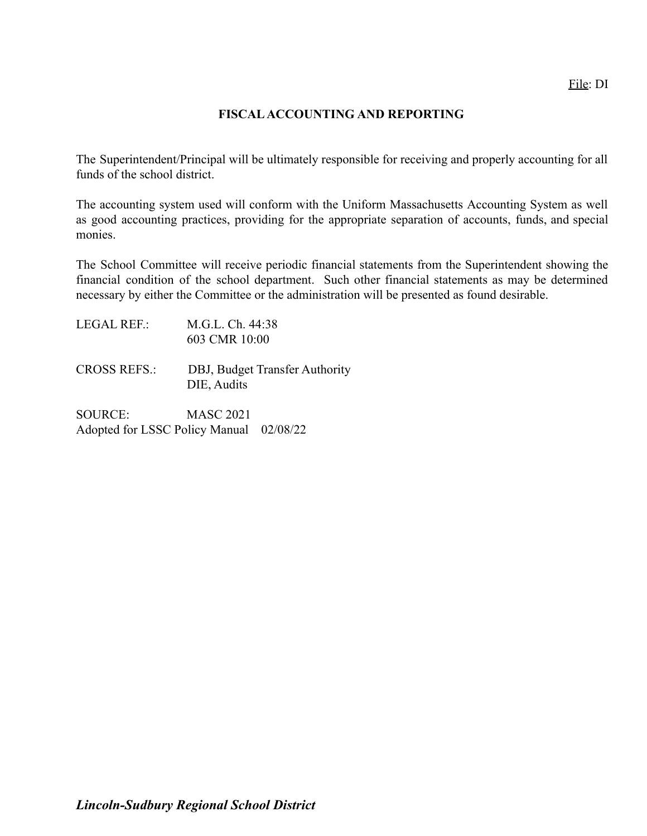#### **FISCALACCOUNTING AND REPORTING**

The Superintendent/Principal will be ultimately responsible for receiving and properly accounting for all funds of the school district.

The accounting system used will conform with the Uniform Massachusetts Accounting System as well as good accounting practices, providing for the appropriate separation of accounts, funds, and special monies.

The School Committee will receive periodic financial statements from the Superintendent showing the financial condition of the school department. Such other financial statements as may be determined necessary by either the Committee or the administration will be presented as found desirable.

| M.G.L. Ch. 44:38 |
|------------------|
| 603 CMR 10:00    |
|                  |

CROSS REFS.: DBJ, Budget Transfer Authority DIE, Audits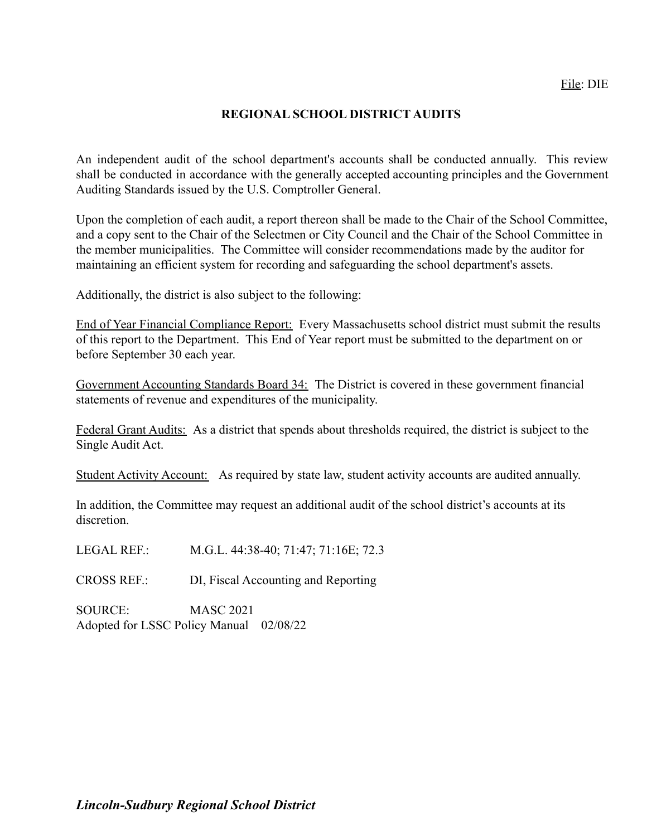## **REGIONAL SCHOOL DISTRICT AUDITS**

An independent audit of the school department's accounts shall be conducted annually. This review shall be conducted in accordance with the generally accepted accounting principles and the Government Auditing Standards issued by the U.S. Comptroller General.

Upon the completion of each audit, a report thereon shall be made to the Chair of the School Committee, and a copy sent to the Chair of the Selectmen or City Council and the Chair of the School Committee in the member municipalities. The Committee will consider recommendations made by the auditor for maintaining an efficient system for recording and safeguarding the school department's assets.

Additionally, the district is also subject to the following:

End of Year Financial Compliance Report: Every Massachusetts school district must submit the results of this report to the Department. This End of Year report must be submitted to the department on or before September 30 each year.

Government Accounting Standards Board 34: The District is covered in these government financial statements of revenue and expenditures of the municipality.

Federal Grant Audits: As a district that spends about thresholds required, the district is subject to the Single Audit Act.

Student Activity Account: As required by state law, student activity accounts are audited annually.

In addition, the Committee may request an additional audit of the school district's accounts at its discretion.

LEGAL REF.: M.G.L. 44:38-40; 71:47; 71:16E; 72.3

CROSS REF.: DI, Fiscal Accounting and Reporting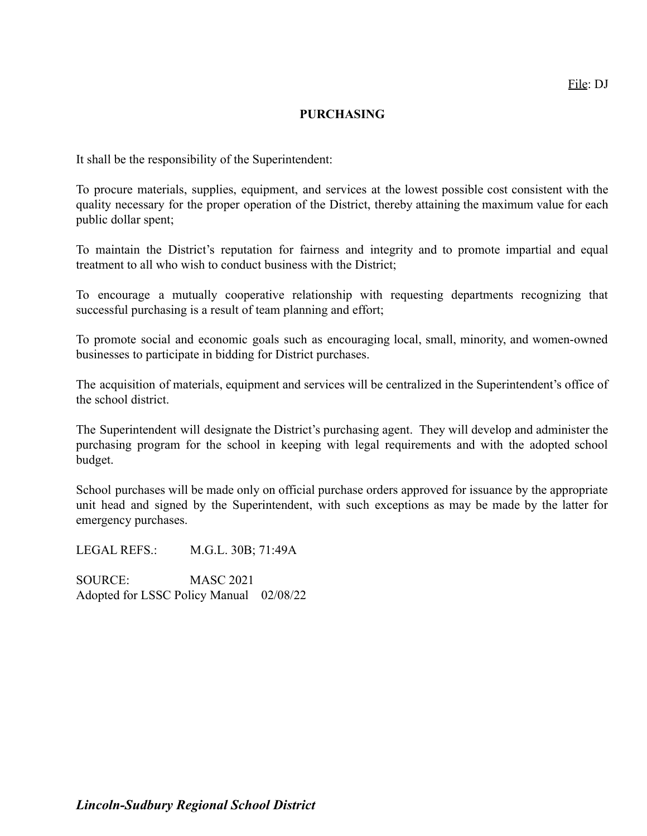#### **PURCHASING**

It shall be the responsibility of the Superintendent:

To procure materials, supplies, equipment, and services at the lowest possible cost consistent with the quality necessary for the proper operation of the District, thereby attaining the maximum value for each public dollar spent;

To maintain the District's reputation for fairness and integrity and to promote impartial and equal treatment to all who wish to conduct business with the District;

To encourage a mutually cooperative relationship with requesting departments recognizing that successful purchasing is a result of team planning and effort;

To promote social and economic goals such as encouraging local, small, minority, and women-owned businesses to participate in bidding for District purchases.

The acquisition of materials, equipment and services will be centralized in the Superintendent's office of the school district.

The Superintendent will designate the District's purchasing agent. They will develop and administer the purchasing program for the school in keeping with legal requirements and with the adopted school budget.

School purchases will be made only on official purchase orders approved for issuance by the appropriate unit head and signed by the Superintendent, with such exceptions as may be made by the latter for emergency purchases.

LEGAL REFS.: M.G.L. 30B; 71:49A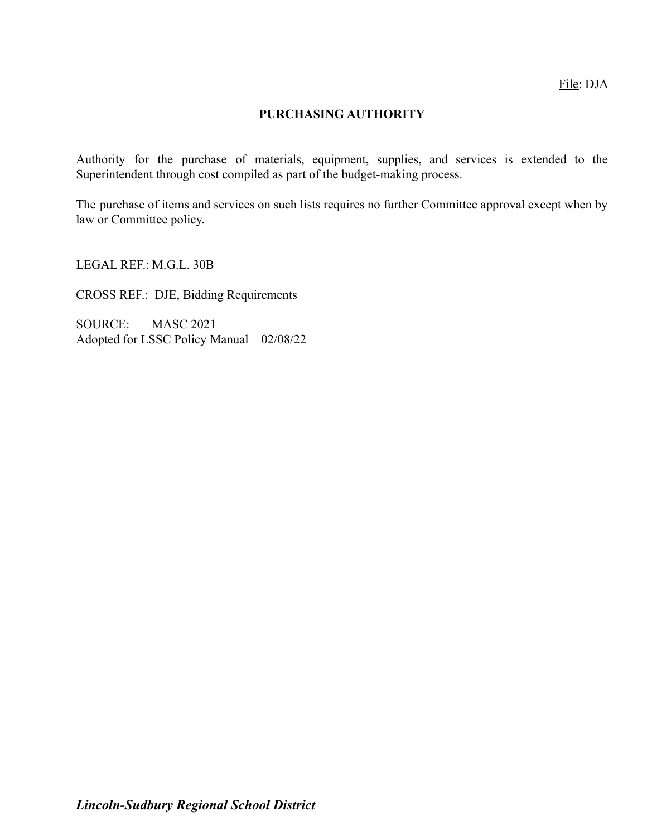# **PURCHASING AUTHORITY**

Authority for the purchase of materials, equipment, supplies, and services is extended to the Superintendent through cost compiled as part of the budget-making process.

The purchase of items and services on such lists requires no further Committee approval except when by law or Committee policy.

LEGAL REF.: M.G.L. 30B

CROSS REF.: DJE, Bidding Requirements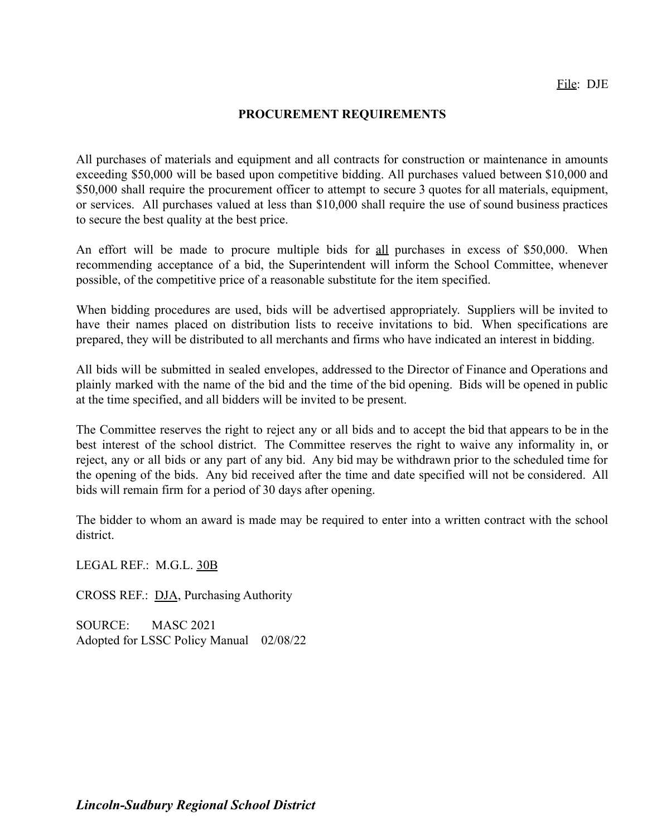#### **PROCUREMENT REQUIREMENTS**

All purchases of materials and equipment and all contracts for construction or maintenance in amounts exceeding \$50,000 will be based upon competitive bidding. All purchases valued between \$10,000 and \$50,000 shall require the procurement officer to attempt to secure 3 quotes for all materials, equipment, or services. All purchases valued at less than \$10,000 shall require the use of sound business practices to secure the best quality at the best price.

An effort will be made to procure multiple bids for all purchases in excess of \$50,000. When recommending acceptance of a bid, the Superintendent will inform the School Committee, whenever possible, of the competitive price of a reasonable substitute for the item specified.

When bidding procedures are used, bids will be advertised appropriately. Suppliers will be invited to have their names placed on distribution lists to receive invitations to bid. When specifications are prepared, they will be distributed to all merchants and firms who have indicated an interest in bidding.

All bids will be submitted in sealed envelopes, addressed to the Director of Finance and Operations and plainly marked with the name of the bid and the time of the bid opening. Bids will be opened in public at the time specified, and all bidders will be invited to be present.

The Committee reserves the right to reject any or all bids and to accept the bid that appears to be in the best interest of the school district. The Committee reserves the right to waive any informality in, or reject, any or all bids or any part of any bid. Any bid may be withdrawn prior to the scheduled time for the opening of the bids. Any bid received after the time and date specified will not be considered. All bids will remain firm for a period of 30 days after opening.

The bidder to whom an award is made may be required to enter into a written contract with the school district.

LEGAL REF.: M.G.L. [30B](http://www.malegislature.gov/Laws/GeneralLaws/PartI/TitleIII/Chapter30B)

CROSS REF.: [DJA](http://z2policy.ctspublish.com/masc/DocViewer.jsp?docid=90&z2collection=master#JD_DJA), Purchasing Authority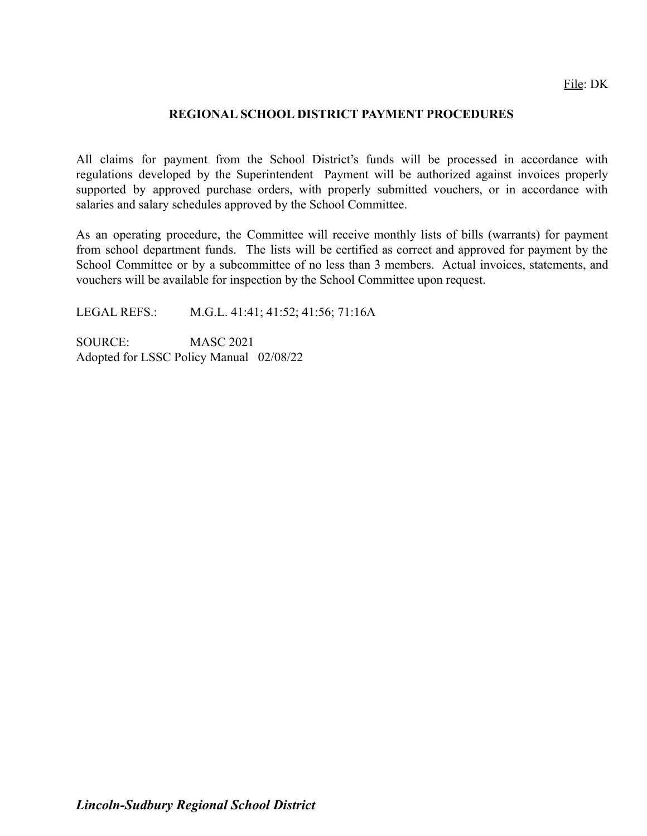#### **REGIONAL SCHOOL DISTRICT PAYMENT PROCEDURES**

All claims for payment from the School District's funds will be processed in accordance with regulations developed by the Superintendent Payment will be authorized against invoices properly supported by approved purchase orders, with properly submitted vouchers, or in accordance with salaries and salary schedules approved by the School Committee.

As an operating procedure, the Committee will receive monthly lists of bills (warrants) for payment from school department funds. The lists will be certified as correct and approved for payment by the School Committee or by a subcommittee of no less than 3 members. Actual invoices, statements, and vouchers will be available for inspection by the School Committee upon request.

LEGAL REFS.: M.G.L. 41:41; 41:52; 41:56; 71:16A